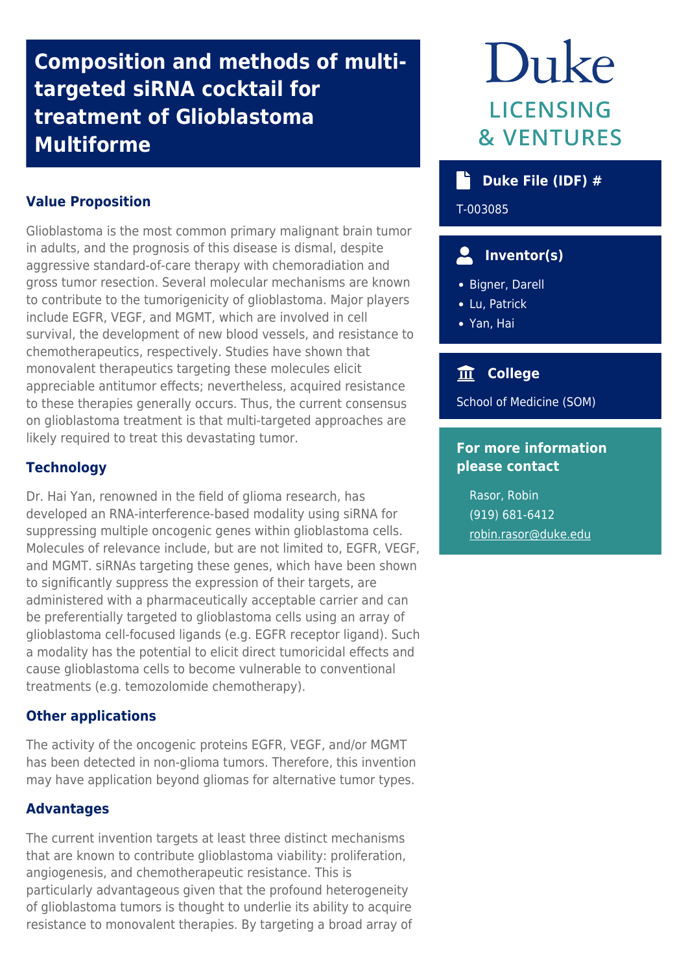## **Composition and methods of multitargeted siRNA cocktail for treatment of Glioblastoma Multiforme**

## **Value Proposition**

Glioblastoma is the most common primary malignant brain tumor in adults, and the prognosis of this disease is dismal, despite aggressive standard-of-care therapy with chemoradiation and gross tumor resection. Several molecular mechanisms are known to contribute to the tumorigenicity of glioblastoma. Major players include EGFR, VEGF, and MGMT, which are involved in cell survival, the development of new blood vessels, and resistance to chemotherapeutics, respectively. Studies have shown that monovalent therapeutics targeting these molecules elicit appreciable antitumor effects; nevertheless, acquired resistance to these therapies generally occurs. Thus, the current consensus on glioblastoma treatment is that multi-targeted approaches are likely required to treat this devastating tumor.

### **Technology**

Dr. Hai Yan, renowned in the field of glioma research, has developed an RNA-interference-based modality using siRNA for suppressing multiple oncogenic genes within glioblastoma cells. Molecules of relevance include, but are not limited to, EGFR, VEGF, and MGMT. siRNAs targeting these genes, which have been shown to significantly suppress the expression of their targets, are administered with a pharmaceutically acceptable carrier and can be preferentially targeted to glioblastoma cells using an array of glioblastoma cell-focused ligands (e.g. EGFR receptor ligand). Such a modality has the potential to elicit direct tumoricidal effects and cause glioblastoma cells to become vulnerable to conventional treatments (e.g. temozolomide chemotherapy).

#### **Other applications**

The activity of the oncogenic proteins EGFR, VEGF, and/or MGMT has been detected in non-glioma tumors. Therefore, this invention may have application beyond gliomas for alternative tumor types.

### **Advantages**

The current invention targets at least three distinct mechanisms that are known to contribute glioblastoma viability: proliferation, angiogenesis, and chemotherapeutic resistance. This is particularly advantageous given that the profound heterogeneity of glioblastoma tumors is thought to underlie its ability to acquire resistance to monovalent therapies. By targeting a broad array of

# Duke **LICENSING & VENTURES**

## **Duke File (IDF) #**

T-003085

## **Inventor(s)**

- Bigner, Darell
- Lu, Patrick
- Yan, Hai

## **College**

School of Medicine (SOM)

## **For more information please contact**

Rasor, Robin (919) 681-6412 [robin.rasor@duke.edu](mailto:robin.rasor@duke.edu)